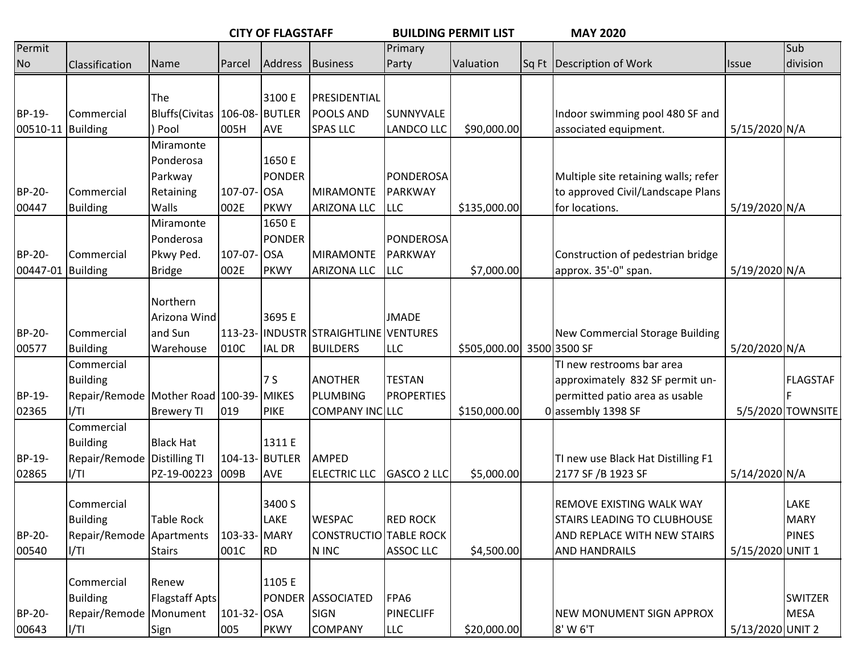|          |                                        |                                 |             | <b>CITY OF FLAGSTAFF</b> |                                       | <b>BUILDING PERMIT LIST</b> |                           |  | <b>MAY 2020</b>                      |                  |                   |
|----------|----------------------------------------|---------------------------------|-------------|--------------------------|---------------------------------------|-----------------------------|---------------------------|--|--------------------------------------|------------------|-------------------|
| Permit   |                                        |                                 |             |                          |                                       | Primary                     |                           |  |                                      |                  | Sub               |
| No       | Classification                         | Name                            | Parcel      | <b>Address</b>           | Business                              | Party                       | Valuation                 |  | Sq Ft Description of Work            | <b>Issue</b>     | division          |
|          |                                        |                                 |             |                          |                                       |                             |                           |  |                                      |                  |                   |
|          |                                        | The                             |             | 3100 E                   | PRESIDENTIAL                          |                             |                           |  |                                      |                  |                   |
| BP-19-   | Commercial                             | Bluffs(Civitas   106-08- BUTLER |             |                          | <b>POOLS AND</b>                      | <b>SUNNYVALE</b>            |                           |  | Indoor swimming pool 480 SF and      |                  |                   |
| 00510-11 | <b>Building</b>                        | ) Pool                          | 005H        | <b>AVE</b>               | <b>SPAS LLC</b>                       | <b>LANDCO LLC</b>           | \$90,000.00               |  | associated equipment.                | 5/15/2020 N/A    |                   |
|          |                                        | Miramonte                       |             |                          |                                       |                             |                           |  |                                      |                  |                   |
|          |                                        | Ponderosa                       |             | 1650 E                   |                                       |                             |                           |  |                                      |                  |                   |
|          |                                        | Parkway                         |             | <b>PONDER</b>            |                                       | PONDEROSA                   |                           |  | Multiple site retaining walls; refer |                  |                   |
| BP-20-   | Commercial                             | Retaining                       | 107-07-OSA  |                          | <b>MIRAMONTE</b>                      | PARKWAY                     |                           |  | to approved Civil/Landscape Plans    |                  |                   |
| 00447    | <b>Building</b>                        | Walls                           | 002E        | PKWY                     | ARIZONA LLC                           | <b>LLC</b>                  | \$135,000.00              |  | for locations.                       | 5/19/2020 N/A    |                   |
|          |                                        | Miramonte                       |             | 1650 E                   |                                       |                             |                           |  |                                      |                  |                   |
|          |                                        | Ponderosa                       |             | PONDER                   |                                       | PONDEROSA                   |                           |  |                                      |                  |                   |
| BP-20-   | Commercial                             | Pkwy Ped.                       | 107-07-OSA  |                          | <b>MIRAMONTE</b>                      | PARKWAY                     |                           |  | Construction of pedestrian bridge    |                  |                   |
| 00447-01 | <b>Building</b>                        | <b>Bridge</b>                   | 002E        | PKWY                     | <b>ARIZONA LLC</b>                    | <b>LLC</b>                  | \$7,000.00                |  | approx. 35'-0" span.                 | 5/19/2020 N/A    |                   |
|          |                                        |                                 |             |                          |                                       |                             |                           |  |                                      |                  |                   |
|          |                                        | Northern                        |             |                          |                                       |                             |                           |  |                                      |                  |                   |
|          |                                        | Arizona Wind                    |             | 3695 E                   |                                       | <b>JMADE</b>                |                           |  |                                      |                  |                   |
| BP-20-   | Commercial                             | and Sun                         |             |                          | 113-23- INDUSTR STRAIGHTLINE VENTURES |                             |                           |  | New Commercial Storage Building      |                  |                   |
| 00577    | <b>Building</b>                        | Warehouse                       | 010C        | IAL DR                   | <b>BUILDERS</b>                       | <b>LLC</b>                  | \$505,000.00 3500 3500 SF |  |                                      | 5/20/2020 N/A    |                   |
|          | Commercial                             |                                 |             |                          |                                       |                             |                           |  | TI new restrooms bar area            |                  |                   |
|          | <b>Building</b>                        |                                 |             | 7S                       | <b>ANOTHER</b>                        | <b>TESTAN</b>               |                           |  | approximately 832 SF permit un-      |                  | <b>FLAGSTAF</b>   |
| BP-19-   | Repair/Remode Mother Road 100-39-MIKES |                                 |             |                          | PLUMBING                              | <b>PROPERTIES</b>           |                           |  | permitted patio area as usable       |                  |                   |
| 02365    | 1/T1                                   | <b>Brewery TI</b>               | 019         | <b>PIKE</b>              | COMPANY INCLLC                        |                             | \$150,000.00              |  | 0 assembly 1398 SF                   |                  | 5/5/2020 TOWNSITE |
|          | Commercial                             |                                 |             |                          |                                       |                             |                           |  |                                      |                  |                   |
|          | <b>Building</b>                        | <b>Black Hat</b>                |             | 1311 E                   |                                       |                             |                           |  |                                      |                  |                   |
| BP-19-   | Repair/Remode   Distilling TI          |                                 |             | 104-13- BUTLER           | AMPED                                 |                             |                           |  | TI new use Black Hat Distilling F1   |                  |                   |
| 02865    | I/TI                                   | PZ-19-00223                     | 009B        | <b>AVE</b>               | <b>ELECTRIC LLC</b>                   | GASCO 2 LLC                 | \$5,000.00                |  | 2177 SF /B 1923 SF                   | 5/14/2020 N/A    |                   |
|          |                                        |                                 |             |                          |                                       |                             |                           |  |                                      |                  |                   |
|          | Commercial                             |                                 |             | 3400 S                   |                                       |                             |                           |  | REMOVE EXISTING WALK WAY             |                  | LAKE              |
|          | <b>Building</b>                        | Table Rock                      |             | LAKE                     | <b>WESPAC</b>                         | <b>RED ROCK</b>             |                           |  | <b>STAIRS LEADING TO CLUBHOUSE</b>   |                  | <b>MARY</b>       |
| BP-20-   | Repair/Remode Apartments               |                                 | 103-33-MARY |                          | <b>CONSTRUCTIO TABLE ROCK</b>         |                             |                           |  | AND REPLACE WITH NEW STAIRS          |                  | <b>PINES</b>      |
| 00540    | I/TI                                   | <b>Stairs</b>                   | 001C        | RD.                      | N INC                                 | <b>ASSOC LLC</b>            | \$4,500.00                |  | <b>AND HANDRAILS</b>                 | 5/15/2020 UNIT 1 |                   |
|          |                                        |                                 |             |                          |                                       |                             |                           |  |                                      |                  |                   |
|          | Commercial                             | Renew                           |             | 1105 E                   |                                       |                             |                           |  |                                      |                  |                   |
|          | <b>Building</b>                        | <b>Flagstaff Apts</b>           |             | PONDER                   | <b>ASSOCIATED</b>                     | FPA6                        |                           |  |                                      |                  | <b>SWITZER</b>    |
| BP-20-   | Repair/Remode Monument                 |                                 | 101-32-OSA  |                          | <b>SIGN</b>                           | PINECLIFF                   |                           |  | <b>NEW MONUMENT SIGN APPROX</b>      |                  | <b>MESA</b>       |
| 00643    | I/TI                                   | Sign                            | 005         | <b>PKWY</b>              | <b>COMPANY</b>                        | <b>LLC</b>                  | \$20,000.00               |  | 8' W 6'T                             | 5/13/2020 UNIT 2 |                   |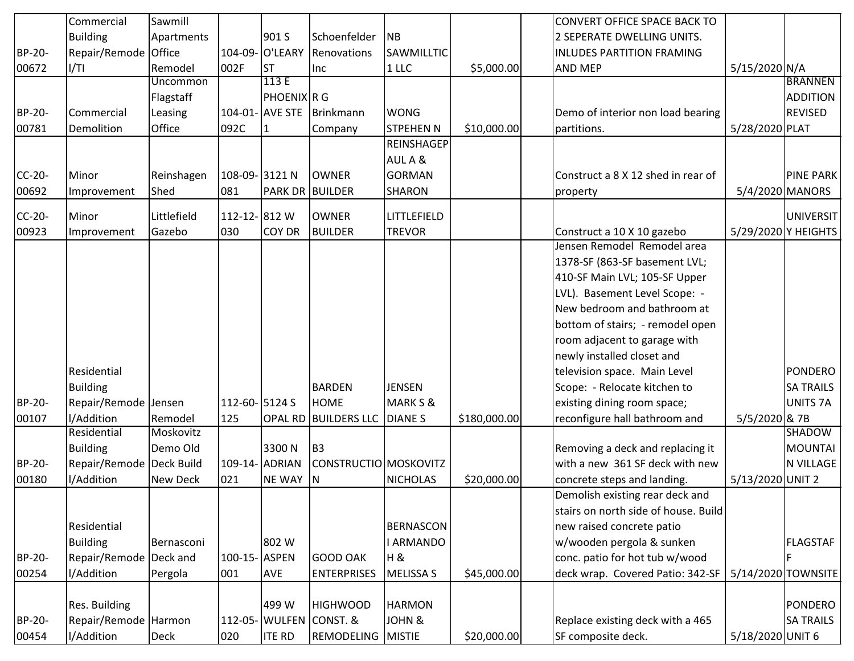|               | Commercial                 | Sawmill         |               |                        |                             |                  |              | <b>CONVERT OFFICE SPACE BACK TO</b>  |                  |                     |
|---------------|----------------------------|-----------------|---------------|------------------------|-----------------------------|------------------|--------------|--------------------------------------|------------------|---------------------|
|               | <b>Building</b>            | Apartments      |               | 901 S                  | Schoenfelder                | <b>NB</b>        |              | 2 SEPERATE DWELLING UNITS.           |                  |                     |
| BP-20-        | Repair/Remode Office       |                 |               | 104-09- O'LEARY        | Renovations                 | SAWMILLTIC       |              | <b>INLUDES PARTITION FRAMING</b>     |                  |                     |
| 00672         | 1/T1                       | Remodel         | 002F          | <b>ST</b>              | Inc                         | 1 <sup>1</sup>   | \$5,000.00   | <b>AND MEP</b>                       | 5/15/2020 N/A    |                     |
|               |                            | <b>Uncommon</b> |               | 113E                   |                             |                  |              |                                      |                  | <b>BRANNEN</b>      |
|               |                            | Flagstaff       |               | PHOENIX R G            |                             |                  |              |                                      |                  | <b>ADDITION</b>     |
| <b>BP-20-</b> | Commercial                 | Leasing         |               | 104-01- AVE STE        | Brinkmann                   | <b>WONG</b>      |              | Demo of interior non load bearing    |                  | <b>REVISED</b>      |
| 00781         | Demolition                 | Office          | 092C          |                        | Company                     | <b>STPEHEN N</b> | \$10,000.00  | partitions.                          | 5/28/2020 PLAT   |                     |
|               |                            |                 |               |                        |                             | REINSHAGEP       |              |                                      |                  |                     |
|               |                            |                 |               |                        |                             | AUL A &          |              |                                      |                  |                     |
| $CC-20-$      | Minor                      | Reinshagen      | 108-09-3121 N |                        | <b>OWNER</b>                | <b>GORMAN</b>    |              | Construct a 8 X 12 shed in rear of   |                  | <b>PINE PARK</b>    |
| 00692         | Improvement                | Shed            | 081           | <b>PARK DR BUILDER</b> |                             | <b>SHARON</b>    |              | property                             |                  | 5/4/2020 MANORS     |
| CC-20-        | Minor                      | Littlefield     | 112-12-812W   |                        | <b>OWNER</b>                | LITTLEFIELD      |              |                                      |                  | UNIVERSIT           |
| 00923         | Improvement                | Gazebo          | 030           | <b>COY DR</b>          | <b>BUILDER</b>              | <b>TREVOR</b>    |              | Construct a 10 X 10 gazebo           |                  | 5/29/2020 Y HEIGHTS |
|               |                            |                 |               |                        |                             |                  |              | Jensen Remodel Remodel area          |                  |                     |
|               |                            |                 |               |                        |                             |                  |              | 1378-SF (863-SF basement LVL;        |                  |                     |
|               |                            |                 |               |                        |                             |                  |              | 410-SF Main LVL; 105-SF Upper        |                  |                     |
|               |                            |                 |               |                        |                             |                  |              | LVL). Basement Level Scope: -        |                  |                     |
|               |                            |                 |               |                        |                             |                  |              | New bedroom and bathroom at          |                  |                     |
|               |                            |                 |               |                        |                             |                  |              | bottom of stairs; - remodel open     |                  |                     |
|               |                            |                 |               |                        |                             |                  |              | room adjacent to garage with         |                  |                     |
|               |                            |                 |               |                        |                             |                  |              | newly installed closet and           |                  |                     |
|               | Residential                |                 |               |                        |                             |                  |              | television space. Main Level         |                  | <b>PONDERO</b>      |
|               | <b>Building</b>            |                 |               |                        | <b>BARDEN</b>               | <b>JENSEN</b>    |              | Scope: - Relocate kitchen to         |                  | <b>SA TRAILS</b>    |
| <b>BP-20-</b> | Repair/Remode Jensen       |                 | 112-60-5124 S |                        | <b>HOME</b>                 | MARK S &         |              | existing dining room space;          |                  | UNITS <sub>7A</sub> |
| 00107         | I/Addition                 | Remodel         | 125           |                        | <b>OPAL RD BUILDERS LLC</b> | <b>DIANES</b>    | \$180,000.00 | reconfigure hall bathroom and        | 5/5/2020 & 7B    |                     |
|               | Residential                | Moskovitz       |               |                        |                             |                  |              |                                      |                  | <b>SHADOW</b>       |
|               | <b>Building</b>            | Demo Old        |               | 3300N                  | B <sub>3</sub>              |                  |              | Removing a deck and replacing it     |                  | <b>MOUNTAI</b>      |
| <b>BP-20-</b> | Repair/Remode   Deck Build |                 |               | 109-14- ADRIAN         | CONSTRUCTIO MOSKOVITZ       |                  |              | with a new 361 SF deck with new      |                  | N VILLAGE           |
| 00180         | I/Addition                 | New Deck        | 021           | <b>NE WAY</b>          | IN.                         | <b>NICHOLAS</b>  | \$20,000.00  | concrete steps and landing.          | 5/13/2020 UNIT 2 |                     |
|               |                            |                 |               |                        |                             |                  |              | Demolish existing rear deck and      |                  |                     |
|               |                            |                 |               |                        |                             |                  |              | stairs on north side of house. Build |                  |                     |
|               | Residential                |                 |               |                        |                             | <b>BERNASCON</b> |              | new raised concrete patio            |                  |                     |
|               | <b>Building</b>            | Bernasconi      |               | 802W                   |                             | <b>I ARMANDO</b> |              | w/wooden pergola & sunken            |                  | <b>FLAGSTAF</b>     |
| BP-20-        | Repair/Remode Deck and     |                 | 100-15-ASPEN  |                        | <b>GOOD OAK</b>             | H &              |              | conc. patio for hot tub w/wood       |                  |                     |
| 00254         | I/Addition                 | Pergola         | 001           | <b>AVE</b>             | <b>ENTERPRISES</b>          | <b>MELISSA S</b> | \$45,000.00  | deck wrap. Covered Patio: 342-SF     |                  | 5/14/2020 TOWNSITE  |
|               |                            |                 |               |                        |                             |                  |              |                                      |                  |                     |
|               | Res. Building              |                 |               | 499 W                  | <b>HIGHWOOD</b>             | <b>HARMON</b>    |              |                                      |                  | <b>PONDERO</b>      |
| BP-20-        | Repair/Remode Harmon       |                 |               |                        | 112-05- WULFEN CONST. &     | JOHN &           |              | Replace existing deck with a 465     |                  | <b>SA TRAILS</b>    |
| 00454         | I/Addition                 | Deck            | 020           | <b>ITE RD</b>          | <b>REMODELING MISTIE</b>    |                  | \$20,000.00  | SF composite deck.                   | 5/18/2020 UNIT 6 |                     |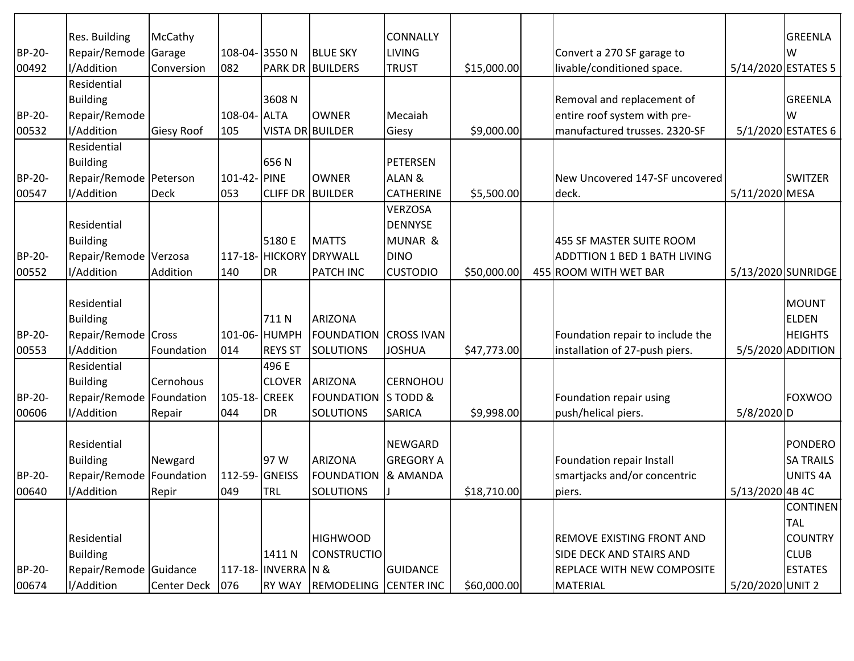|        | Res. Building              | McCathy           |               |                     |                         | <b>CONNALLY</b>    |             |                                     |                  | <b>GREENLA</b>      |
|--------|----------------------------|-------------------|---------------|---------------------|-------------------------|--------------------|-------------|-------------------------------------|------------------|---------------------|
| BP-20- | Repair/Remode Garage       |                   | 108-04-3550N  |                     | <b>BLUE SKY</b>         | <b>LIVING</b>      |             | Convert a 270 SF garage to          |                  | W                   |
| 00492  | I/Addition                 | Conversion        | 082           |                     | <b>PARK DR BUILDERS</b> | <b>TRUST</b>       | \$15,000.00 | livable/conditioned space.          |                  | 5/14/2020 ESTATES 5 |
|        | Residential                |                   |               |                     |                         |                    |             |                                     |                  |                     |
|        | <b>Building</b>            |                   |               | 3608N               |                         |                    |             | Removal and replacement of          |                  | <b>GREENLA</b>      |
| BP-20- | Repair/Remode              |                   | 108-04- ALTA  |                     | <b>OWNER</b>            | Mecaiah            |             | entire roof system with pre-        |                  | W                   |
| 00532  | l/Addition                 | <b>Giesy Roof</b> | 105           | VISTA DR BUILDER    |                         | Giesy              | \$9,000.00  | manufactured trusses. 2320-SF       |                  | 5/1/2020 ESTATES 6  |
|        | Residential                |                   |               |                     |                         |                    |             |                                     |                  |                     |
|        | <b>Building</b>            |                   |               | 656N                |                         | <b>PETERSEN</b>    |             |                                     |                  |                     |
| BP-20- | Repair/Remode Peterson     |                   | 101-42- PINE  |                     | <b>OWNER</b>            | ALAN &             |             | New Uncovered 147-SF uncovered      |                  | <b>SWITZER</b>      |
| 00547  | l/Addition                 | Deck              | 053           | <b>CLIFF DR</b>     | BUILDER                 | <b>CATHERINE</b>   | \$5,500.00  | deck.                               | 5/11/2020 MESA   |                     |
|        |                            |                   |               |                     |                         | <b>VERZOSA</b>     |             |                                     |                  |                     |
|        | Residential                |                   |               |                     |                         | <b>DENNYSE</b>     |             |                                     |                  |                     |
|        | <b>Building</b>            |                   |               | 5180 E              | <b>MATTS</b>            | <b>MUNAR &amp;</b> |             | 455 SF MASTER SUITE ROOM            |                  |                     |
| BP-20- | Repair/Remode Verzosa      |                   |               |                     | 117-18- HICKORY DRYWALL | <b>DINO</b>        |             | <b>ADDTTION 1 BED 1 BATH LIVING</b> |                  |                     |
| 00552  | I/Addition                 | Addition          | 140           | <b>DR</b>           | <b>PATCH INC</b>        | <b>CUSTODIO</b>    | \$50,000.00 | 455 ROOM WITH WET BAR               |                  | 5/13/2020 SUNRIDGE  |
|        |                            |                   |               |                     |                         |                    |             |                                     |                  |                     |
|        | Residential                |                   |               |                     |                         |                    |             |                                     |                  | <b>MOUNT</b>        |
|        | <b>Building</b>            |                   |               | 711N                | <b>ARIZONA</b>          |                    |             |                                     |                  | <b>ELDEN</b>        |
| BP-20- | Repair/Remode Cross        |                   |               | 101-06- HUMPH       | <b>FOUNDATION</b>       | <b>CROSS IVAN</b>  |             | Foundation repair to include the    |                  | <b>HEIGHTS</b>      |
| 00553  | l/Addition                 | Foundation        | 014           | <b>REYS ST</b>      | <b>SOLUTIONS</b>        | <b>JOSHUA</b>      | \$47,773.00 | installation of 27-push piers.      |                  | 5/5/2020 ADDITION   |
|        | Residential                |                   |               | 496 E               |                         |                    |             |                                     |                  |                     |
|        | <b>Building</b>            | Cernohous         |               | <b>CLOVER</b>       | <b>ARIZONA</b>          | <b>CERNOHOU</b>    |             |                                     |                  |                     |
| BP-20- | Repair/Remode   Foundation |                   | 105-18-CREEK  |                     | <b>FOUNDATION</b>       | S TODD &           |             | Foundation repair using             |                  | <b>FOXWOO</b>       |
| 00606  | I/Addition                 | Repair            | 044           | DR.                 | <b>SOLUTIONS</b>        | <b>SARICA</b>      | \$9,998.00  | push/helical piers.                 | $5/8/2020$ D     |                     |
|        |                            |                   |               |                     |                         |                    |             |                                     |                  |                     |
|        | Residential                |                   |               |                     |                         | NEWGARD            |             |                                     |                  | PONDERO             |
|        | <b>Building</b>            | Newgard           |               | 97 W                | <b>ARIZONA</b>          | <b>GREGORY A</b>   |             | Foundation repair Install           |                  | <b>SA TRAILS</b>    |
| BP-20- | Repair/Remode   Foundation |                   | 112-59-GNEISS |                     | <b>FOUNDATION</b>       | & AMANDA           |             | smartjacks and/or concentric        |                  | <b>UNITS 4A</b>     |
| 00640  | I/Addition                 | Repir             | 049           | <b>TRL</b>          | <b>SOLUTIONS</b>        |                    | \$18,710.00 | piers.                              | 5/13/2020 4B 4C  |                     |
|        |                            |                   |               |                     |                         |                    |             |                                     |                  | <b>CONTINEN</b>     |
|        |                            |                   |               |                     |                         |                    |             |                                     |                  | <b>TAL</b>          |
|        | Residential                |                   |               |                     | <b>HIGHWOOD</b>         |                    |             | <b>REMOVE EXISTING FRONT AND</b>    |                  | <b>COUNTRY</b>      |
|        | <b>Building</b>            |                   |               | 1411 N              | <b>CONSTRUCTIO</b>      |                    |             | SIDE DECK AND STAIRS AND            |                  | <b>CLUB</b>         |
| BP-20- |                            |                   |               | 117-18- INVERRA N & |                         |                    |             | <b>REPLACE WITH NEW COMPOSITE</b>   |                  | <b>ESTATES</b>      |
|        | Repair/Remode Guidance     |                   |               |                     |                         | <b>GUIDANCE</b>    |             |                                     |                  |                     |
| 00674  | I/Addition                 | Center Deck 076   |               | <b>RY WAY</b>       | REMODELING              | <b>CENTER INC</b>  | \$60,000.00 | <b>MATERIAL</b>                     | 5/20/2020 UNIT 2 |                     |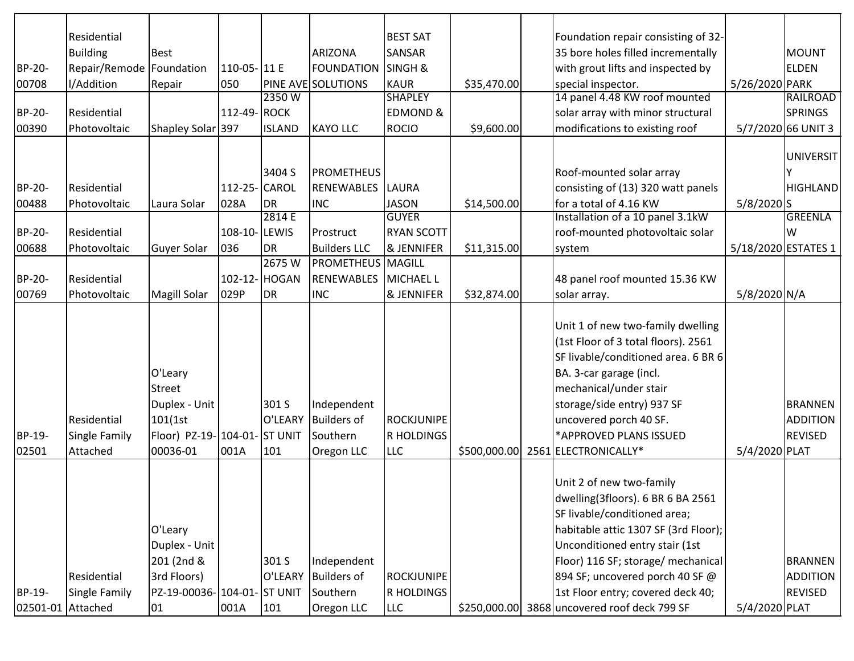|                             | Residential                                     |                                                                                           |              |                         |                                                             | <b>BEST SAT</b>                               |              | Foundation repair consisting of 32-                                                                                                                                                                                                                                                                                                   |                |                                                     |
|-----------------------------|-------------------------------------------------|-------------------------------------------------------------------------------------------|--------------|-------------------------|-------------------------------------------------------------|-----------------------------------------------|--------------|---------------------------------------------------------------------------------------------------------------------------------------------------------------------------------------------------------------------------------------------------------------------------------------------------------------------------------------|----------------|-----------------------------------------------------|
|                             | <b>Building</b>                                 | <b>Best</b>                                                                               |              |                         | <b>ARIZONA</b>                                              | <b>SANSAR</b>                                 |              | 35 bore holes filled incrementally                                                                                                                                                                                                                                                                                                    |                | <b>MOUNT</b>                                        |
| BP-20-                      | Repair/Remode                                   | Foundation                                                                                | 110-05-111 E |                         | <b>FOUNDATION</b>                                           | <b>SINGH &amp;</b>                            |              | with grout lifts and inspected by                                                                                                                                                                                                                                                                                                     |                | <b>ELDEN</b>                                        |
| 00708                       | I/Addition                                      | Repair                                                                                    | 050          |                         | <b>PINE AVE SOLUTIONS</b>                                   | KAUR                                          | \$35,470.00  | special inspector.                                                                                                                                                                                                                                                                                                                    | 5/26/2020 PARK |                                                     |
|                             |                                                 |                                                                                           |              | 2350W                   |                                                             | <b>SHAPLEY</b>                                |              | 14 panel 4.48 KW roof mounted                                                                                                                                                                                                                                                                                                         |                | RAILROAD                                            |
| BP-20-                      | Residential                                     |                                                                                           | 112-49-ROCK  |                         |                                                             | <b>EDMOND &amp;</b>                           |              | solar array with minor structural                                                                                                                                                                                                                                                                                                     |                | <b>SPRINGS</b>                                      |
| 00390                       | Photovoltaic                                    | Shapley Solar 397                                                                         |              | <b>ISLAND</b>           | <b>KAYO LLC</b>                                             | <b>ROCIO</b>                                  | \$9,600.00   | modifications to existing roof                                                                                                                                                                                                                                                                                                        |                | 5/7/2020 66 UNIT 3                                  |
|                             |                                                 |                                                                                           |              |                         |                                                             |                                               |              |                                                                                                                                                                                                                                                                                                                                       |                |                                                     |
|                             |                                                 |                                                                                           |              |                         |                                                             |                                               |              |                                                                                                                                                                                                                                                                                                                                       |                | <b>UNIVERSIT</b>                                    |
|                             |                                                 |                                                                                           |              | 3404 S                  | <b>PROMETHEUS</b>                                           |                                               |              | Roof-mounted solar array                                                                                                                                                                                                                                                                                                              |                |                                                     |
| BP-20-                      | Residential                                     |                                                                                           | 112-25-CAROL |                         | <b>RENEWABLES</b>                                           | <b>LAURA</b>                                  |              | consisting of (13) 320 watt panels                                                                                                                                                                                                                                                                                                    |                | <b>HIGHLAND</b>                                     |
| 00488                       | Photovoltaic                                    | Laura Solar                                                                               | 028A         | DR                      | <b>INC</b>                                                  | <b>JASON</b>                                  | \$14,500.00  | for a total of 4.16 KW                                                                                                                                                                                                                                                                                                                | $5/8/2020$ S   |                                                     |
|                             |                                                 |                                                                                           |              | 2814 E                  |                                                             | <b>GUYER</b>                                  |              | Installation of a 10 panel 3.1kW                                                                                                                                                                                                                                                                                                      |                | <b>GREENLA</b>                                      |
| BP-20-                      | Residential                                     |                                                                                           | 108-10-LEWIS |                         | Prostruct                                                   | <b>RYAN SCOTT</b>                             |              | roof-mounted photovoltaic solar                                                                                                                                                                                                                                                                                                       |                | W                                                   |
| 00688                       | Photovoltaic                                    | Guyer Solar                                                                               | 036          | DR                      | <b>Builders LLC</b>                                         | <b>&amp; JENNIFER</b>                         | \$11,315.00  | system                                                                                                                                                                                                                                                                                                                                |                | 5/18/2020 ESTATES 1                                 |
|                             |                                                 |                                                                                           |              | 2675W                   | <b>PROMETHEUS MAGILL</b>                                    |                                               |              |                                                                                                                                                                                                                                                                                                                                       |                |                                                     |
| BP-20-                      | Residential                                     |                                                                                           |              | 102-12- HOGAN           | <b>RENEWABLES</b>                                           | MICHAEL L                                     |              | 48 panel roof mounted 15.36 KW                                                                                                                                                                                                                                                                                                        |                |                                                     |
| 00769                       | Photovoltaic                                    | Magill Solar                                                                              | 029P         | DR                      | <b>INC</b>                                                  | <b>&amp; JENNIFER</b>                         | \$32,874.00  | solar array.                                                                                                                                                                                                                                                                                                                          | 5/8/2020 N/A   |                                                     |
| BP-19-<br>02501             | Residential<br><b>Single Family</b><br>Attached | O'Leary<br>Street<br>Duplex - Unit<br>101(1st<br>Floor) PZ-19-104-01-ST UNIT<br>00036-01  | 001A         | 301 S<br>O'LEARY<br>101 | Independent<br><b>Builders of</b><br>Southern<br>Oregon LLC | <b>ROCKJUNIPE</b><br>R HOLDINGS<br><b>LLC</b> | \$500,000.00 | Unit 1 of new two-family dwelling<br>(1st Floor of 3 total floors). 2561<br>SF livable/conditioned area. 6 BR 6<br>BA. 3-car garage (incl.<br>mechanical/under stair<br>storage/side entry) 937 SF<br>uncovered porch 40 SF.<br>*APPROVED PLANS ISSUED<br>2561 ELECTRONICALLY*                                                        | 5/4/2020 PLAT  | <b>BRANNEN</b><br><b>ADDITION</b><br><b>REVISED</b> |
| BP-19-<br>02501-01 Attached | Residential<br>Single Family                    | O'Leary<br>Duplex - Unit<br>201 (2nd &<br>3rd Floors)<br>PZ-19-00036-104-01-ST UNIT<br>01 | 001A         | 301 S<br>O'LEARY<br>101 | Independent<br><b>Builders of</b><br>Southern<br>Oregon LLC | ROCKJUNIPE<br>R HOLDINGS<br><b>LLC</b>        |              | Unit 2 of new two-family<br>dwelling(3floors). 6 BR 6 BA 2561<br>SF livable/conditioned area;<br>habitable attic 1307 SF (3rd Floor);<br>Unconditioned entry stair (1st<br>Floor) 116 SF; storage/ mechanical<br>894 SF; uncovered porch 40 SF @<br>1st Floor entry; covered deck 40;<br>\$250,000.00 3868 uncovered roof deck 799 SF | 5/4/2020 PLAT  | <b>BRANNEN</b><br><b>ADDITION</b><br><b>REVISED</b> |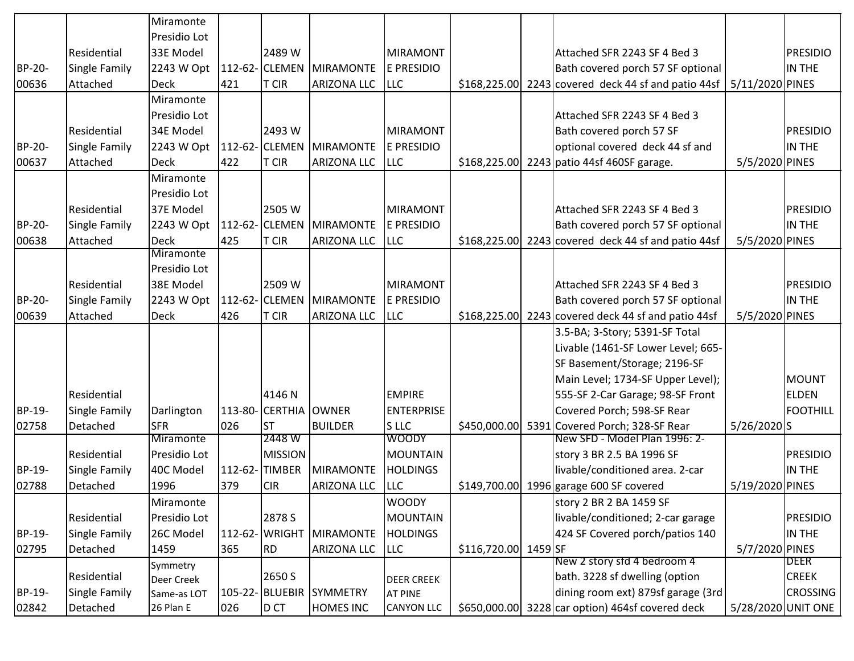|                          |                                                             | Miramonte                                                  |            |                                               |                                                    |                                                                        |                      |                                                                                                                                                         |                 |                                                               |
|--------------------------|-------------------------------------------------------------|------------------------------------------------------------|------------|-----------------------------------------------|----------------------------------------------------|------------------------------------------------------------------------|----------------------|---------------------------------------------------------------------------------------------------------------------------------------------------------|-----------------|---------------------------------------------------------------|
|                          |                                                             | Presidio Lot                                               |            |                                               |                                                    |                                                                        |                      |                                                                                                                                                         |                 |                                                               |
|                          | Residential                                                 | 33E Model                                                  |            | 2489 W                                        |                                                    | MIRAMONT                                                               |                      | Attached SFR 2243 SF 4 Bed 3                                                                                                                            |                 | <b>PRESIDIO</b>                                               |
| BP-20-                   | Single Family                                               | 2243 W Opt                                                 |            | 112-62- CLEMEN                                | MIRAMONTE                                          | E PRESIDIO                                                             |                      | Bath covered porch 57 SF optional                                                                                                                       |                 | IN THE                                                        |
| 00636                    | Attached                                                    | <b>Deck</b>                                                | 421        | <b>T CIR</b>                                  | <b>ARIZONA LLC</b>                                 | <b>ILLC</b>                                                            |                      | \$168,225.00 2243 covered deck 44 sf and patio 44sf                                                                                                     | 5/11/2020 PINES |                                                               |
|                          |                                                             | Miramonte                                                  |            |                                               |                                                    |                                                                        |                      |                                                                                                                                                         |                 |                                                               |
|                          |                                                             | Presidio Lot                                               |            |                                               |                                                    |                                                                        |                      | Attached SFR 2243 SF 4 Bed 3                                                                                                                            |                 |                                                               |
|                          | Residential                                                 | 34E Model                                                  |            | 2493 W                                        |                                                    | MIRAMONT                                                               |                      | Bath covered porch 57 SF                                                                                                                                |                 | <b>PRESIDIO</b>                                               |
| BP-20-                   | Single Family                                               | 2243 W Opt                                                 |            |                                               | 112-62- CLEMEN MIRAMONTE                           | E PRESIDIO                                                             |                      | optional covered deck 44 sf and                                                                                                                         |                 | IN THE                                                        |
| 00637                    | Attached                                                    | <b>Deck</b>                                                | 422        | <b>T CIR</b>                                  | <b>ARIZONA LLC</b>                                 | <b>LLC</b>                                                             |                      | \$168,225.00 2243 patio 44sf 460SF garage.                                                                                                              | 5/5/2020 PINES  |                                                               |
|                          |                                                             | Miramonte                                                  |            |                                               |                                                    |                                                                        |                      |                                                                                                                                                         |                 |                                                               |
|                          |                                                             | Presidio Lot                                               |            |                                               |                                                    |                                                                        |                      |                                                                                                                                                         |                 |                                                               |
|                          | Residential                                                 | 37E Model                                                  |            | 2505 W                                        |                                                    | MIRAMONT                                                               |                      | Attached SFR 2243 SF 4 Bed 3                                                                                                                            |                 | <b>PRESIDIO</b>                                               |
| BP-20-                   | Single Family                                               | 2243 W Opt                                                 |            | 112-62- CLEMEN                                | <b>MIRAMONTE</b>                                   | <b>E PRESIDIO</b>                                                      |                      | Bath covered porch 57 SF optional                                                                                                                       |                 | IN THE                                                        |
| 00638                    | Attached                                                    | <b>Deck</b>                                                | 425        | <b>T CIR</b>                                  | <b>ARIZONA LLC</b>                                 | <b>LLC</b>                                                             |                      | $$168,225.00$ 2243 covered deck 44 sf and patio 44sf                                                                                                    | 5/5/2020 PINES  |                                                               |
|                          |                                                             | <b>Miramonte</b>                                           |            |                                               |                                                    |                                                                        |                      |                                                                                                                                                         |                 |                                                               |
|                          |                                                             | Presidio Lot                                               |            |                                               |                                                    |                                                                        |                      |                                                                                                                                                         |                 |                                                               |
|                          | Residential                                                 | 38E Model                                                  |            | 2509 W                                        |                                                    | MIRAMONT                                                               |                      | Attached SFR 2243 SF 4 Bed 3                                                                                                                            |                 | <b>PRESIDIO</b>                                               |
| BP-20-                   | <b>Single Family</b>                                        | 2243 W Opt                                                 |            |                                               | 112-62- CLEMEN MIRAMONTE                           | E PRESIDIO                                                             |                      | Bath covered porch 57 SF optional                                                                                                                       |                 | IN THE                                                        |
| 00639                    | Attached                                                    | <b>Deck</b>                                                | 426        | <b>T CIR</b>                                  | <b>ARIZONA LLC</b>                                 | <b>ILLC</b>                                                            |                      | $$168,225.00$ 2243 covered deck 44 sf and patio 44sf                                                                                                    | 5/5/2020 PINES  |                                                               |
|                          |                                                             |                                                            |            |                                               |                                                    |                                                                        |                      | 3.5-BA; 3-Story; 5391-SF Total                                                                                                                          |                 |                                                               |
|                          |                                                             |                                                            |            |                                               |                                                    |                                                                        |                      | Livable (1461-SF Lower Level; 665-                                                                                                                      |                 |                                                               |
|                          |                                                             |                                                            |            |                                               |                                                    |                                                                        |                      | SF Basement/Storage; 2196-SF                                                                                                                            |                 |                                                               |
|                          |                                                             |                                                            |            |                                               |                                                    |                                                                        |                      | Main Level; 1734-SF Upper Level);                                                                                                                       |                 | <b>MOUNT</b>                                                  |
|                          | Residential                                                 |                                                            |            | 4146 N                                        |                                                    | <b>EMPIRE</b>                                                          |                      | 555-SF 2-Car Garage; 98-SF Front                                                                                                                        |                 | <b>ELDEN</b>                                                  |
| BP-19-                   | Single Family                                               | Darlington                                                 |            | 113-80- CERTHIA OWNER                         |                                                    | ENTERPRISE                                                             |                      | Covered Porch; 598-SF Rear                                                                                                                              |                 | <b>FOOTHILL</b>                                               |
| 02758                    | Detached                                                    | <b>SFR</b>                                                 | 026        | ST                                            | <b>BUILDER</b>                                     | <b>SLLC</b>                                                            | \$450,000.00         | 5391 Covered Porch; 328-SF Rear                                                                                                                         | 5/26/2020 S     |                                                               |
|                          |                                                             | Miramonte                                                  |            | 2448 W                                        |                                                    | <b>WOODY</b>                                                           |                      | New SFD - Model Plan 1996: 2-                                                                                                                           |                 |                                                               |
|                          | Residential                                                 | Presidio Lot                                               |            | <b>MISSION</b>                                |                                                    | MOUNTAIN                                                               |                      | story 3 BR 2.5 BA 1996 SF                                                                                                                               |                 | <b>PRESIDIO</b>                                               |
| BP-19-                   | Single Family                                               | 40C Model                                                  |            | 112-62-TIMBER                                 | <b>MIRAMONTE</b>                                   | <b>HOLDINGS</b>                                                        |                      | livable/conditioned area. 2-car                                                                                                                         |                 | IN THE                                                        |
| 02788                    | Detached                                                    | 1996                                                       | 379        | <b>CIR</b>                                    | <b>ARIZONA LLC</b>                                 | <b>LLC</b>                                                             |                      | \$149,700.00 1996 garage 600 SF covered                                                                                                                 | 5/19/2020 PINES |                                                               |
|                          |                                                             | Miramonte                                                  |            |                                               |                                                    | <b>WOODY</b>                                                           |                      | story 2 BR 2 BA 1459 SF                                                                                                                                 |                 |                                                               |
|                          | Residential                                                 | Presidio Lot                                               |            | 2878 S                                        |                                                    | <b>MOUNTAIN</b>                                                        |                      | livable/conditioned; 2-car garage                                                                                                                       |                 | <b>PRESIDIO</b>                                               |
| BP-19-                   | Single Family                                               | 26C Model                                                  |            | 112-62- WRIGHT                                | MIRAMONTE                                          | <b>HOLDINGS</b>                                                        |                      | 424 SF Covered porch/patios 140                                                                                                                         |                 | IN THE                                                        |
|                          |                                                             |                                                            |            |                                               |                                                    |                                                                        |                      |                                                                                                                                                         |                 |                                                               |
|                          |                                                             |                                                            |            |                                               |                                                    |                                                                        |                      |                                                                                                                                                         |                 |                                                               |
|                          |                                                             |                                                            |            |                                               |                                                    |                                                                        |                      |                                                                                                                                                         |                 |                                                               |
|                          |                                                             |                                                            |            |                                               |                                                    |                                                                        |                      |                                                                                                                                                         |                 |                                                               |
| 02795<br>BP-19-<br>02842 | Detached<br>Residential<br><b>Single Family</b><br>Detached | 1459<br>Symmetry<br>Deer Creek<br>Same-as LOT<br>26 Plan E | 365<br>026 | <b>RD</b><br>2650 S<br>105-22- BLUEBIR<br>DCT | <b>ARIZONA LLC</b><br>SYMMETRY<br><b>HOMES INC</b> | <b>LLC</b><br><b>DEER CREEK</b><br><b>AT PINE</b><br><b>CANYON LLC</b> | \$116,720.00 1459 SF | New 2 story std 4 bedroom 4<br>bath. 3228 sf dwelling (option<br>dining room ext) 879sf garage (3rd<br>\$650,000.00 3228 car option) 464sf covered deck | 5/7/2020 PINES  | DEER<br><b>CREEK</b><br><b>CROSSING</b><br>5/28/2020 UNIT ONE |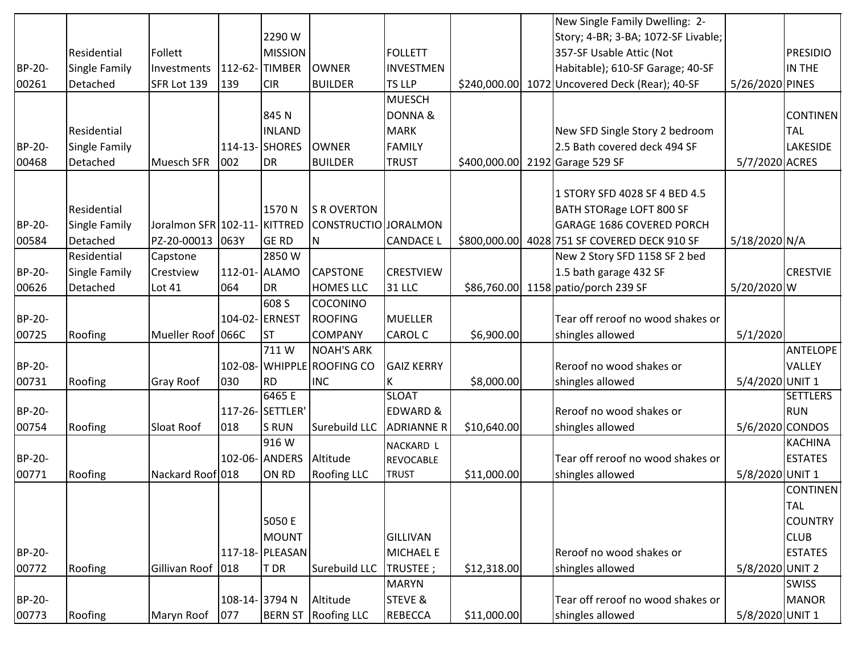|        |               |                             |               |                  |                            |                     |             | New Single Family Dwelling: 2-                 |                 |                 |
|--------|---------------|-----------------------------|---------------|------------------|----------------------------|---------------------|-------------|------------------------------------------------|-----------------|-----------------|
|        |               |                             |               | 2290W            |                            |                     |             | Story; 4-BR; 3-BA; 1072-SF Livable;            |                 |                 |
|        | Residential   | Follett                     |               | MISSION          |                            | <b>FOLLETT</b>      |             | 357-SF Usable Attic (Not                       |                 | <b>PRESIDIO</b> |
| BP-20- | Single Family | Investments                 | 112-62-       | <b>TIMBER</b>    | <b>OWNER</b>               | <b>INVESTMEN</b>    |             | Habitable); 610-SF Garage; 40-SF               |                 | IN THE          |
| 00261  | Detached      | SFR Lot 139                 | 139           | <b>CIR</b>       | <b>BUILDER</b>             | <b>TS LLP</b>       |             | \$240,000.00 1072 Uncovered Deck (Rear); 40-SF | 5/26/2020 PINES |                 |
|        |               |                             |               |                  |                            | <b>MUESCH</b>       |             |                                                |                 |                 |
|        |               |                             |               | 845N             |                            | DONNA&              |             |                                                |                 | <b>CONTINEN</b> |
|        | Residential   |                             |               | <b>INLAND</b>    |                            | MARK                |             | New SFD Single Story 2 bedroom                 |                 | <b>TAL</b>      |
| BP-20- | Single Family |                             |               | 114-13-SHORES    | <b>OWNER</b>               | FAMILY              |             | 2.5 Bath covered deck 494 SF                   |                 | <b>LAKESIDE</b> |
| 00468  | Detached      | <b>Muesch SFR</b>           | 002           | <b>I</b> DR      | <b>BUILDER</b>             | <b>TRUST</b>        |             | \$400,000.00 2192 Garage 529 SF                | 5/7/2020 ACRES  |                 |
|        |               |                             |               |                  |                            |                     |             |                                                |                 |                 |
|        |               |                             |               |                  |                            |                     |             | 1 STORY SFD 4028 SF 4 BED 4.5                  |                 |                 |
|        | Residential   |                             |               | 1570N            | <b>S R OVERTON</b>         |                     |             | BATH STORage LOFT 800 SF                       |                 |                 |
| BP-20- | Single Family | Joralmon SFR 102-11-KITTRED |               |                  | CONSTRUCTIO JORALMON       |                     |             | <b>GARAGE 1686 COVERED PORCH</b>               |                 |                 |
| 00584  | Detached      | PZ-20-00013 063Y            |               | <b>GE RD</b>     | ΙN                         | <b>CANDACE L</b>    |             | \$800,000.00 4028 751 SF COVERED DECK 910 SF   | 5/18/2020 N/A   |                 |
|        | Residential   | Capstone                    |               | 2850W            |                            |                     |             | New 2 Story SFD 1158 SF 2 bed                  |                 |                 |
| BP-20- | Single Family | Crestview                   | 112-01- ALAMO |                  | <b>CAPSTONE</b>            | <b>CRESTVIEW</b>    |             | 1.5 bath garage 432 SF                         |                 | <b>CRESTVIE</b> |
| 00626  | Detached      | Lot 41                      | 064           | DR.              | <b>HOMES LLC</b>           | 31 LLC              |             | \$86,760.00 1158 patio/porch 239 SF            | 5/20/2020 W     |                 |
|        |               |                             |               | 608 S            | <b>COCONINO</b>            |                     |             |                                                |                 |                 |
| BP-20- |               |                             |               | 104-02- ERNEST   | <b>ROOFING</b>             | MUELLER             |             | Tear off reroof no wood shakes or              |                 |                 |
| 00725  | Roofing       | Mueller Roof 066C           |               | ST               | <b>COMPANY</b>             | CAROL C             | \$6,900.00  | shingles allowed                               | 5/1/2020        |                 |
|        |               |                             |               | 711W             | <b>NOAH'S ARK</b>          |                     |             |                                                |                 | <b>ANTELOPE</b> |
| BP-20- |               |                             |               |                  | 102-08- WHIPPLE ROOFING CO | <b>GAIZ KERRY</b>   |             | Reroof no wood shakes or                       |                 | VALLEY          |
| 00731  | Roofing       | <b>Gray Roof</b>            | 030           | RD <sup></sup>   | <b>INC</b>                 | Κ                   | \$8,000.00  | shingles allowed                               | 5/4/2020 UNIT 1 |                 |
|        |               |                             |               | 6465 E           |                            | <b>SLOAT</b>        |             |                                                |                 | <b>SETTLERS</b> |
| BP-20- |               |                             |               | 117-26- SETTLER' |                            | <b>EDWARD &amp;</b> |             | Reroof no wood shakes or                       |                 | <b>RUN</b>      |
| 00754  | Roofing       | Sloat Roof                  | 018           | <b>S</b> RUN     | Surebuild LLC              | <b>ADRIANNE R</b>   | \$10,640.00 | shingles allowed                               | 5/6/2020 CONDOS |                 |
|        |               |                             |               | 916 W            |                            | NACKARD L           |             |                                                |                 | <b>KACHINA</b>  |
| BP-20- |               |                             |               | 102-06- ANDERS   | Altitude                   | REVOCABLE           |             | Tear off reroof no wood shakes or              |                 | <b>ESTATES</b>  |
| 00771  | Roofing       | Nackard Roof 018            |               | ON RD            | <b>Roofing LLC</b>         | <b>TRUST</b>        | \$11,000.00 | shingles allowed                               | 5/8/2020 UNIT 1 |                 |
|        |               |                             |               |                  |                            |                     |             |                                                |                 | <b>CONTINEN</b> |
|        |               |                             |               |                  |                            |                     |             |                                                |                 | <b>TAL</b>      |
|        |               |                             |               | 5050 E           |                            |                     |             |                                                |                 | <b>COUNTRY</b>  |
|        |               |                             |               | MOUNT            |                            | GILLIVAN            |             |                                                |                 | <b>CLUB</b>     |
| BP-20- |               |                             |               | 117-18- PLEASAN  |                            | MICHAEL E           |             | Reroof no wood shakes or                       |                 | <b>ESTATES</b>  |
| 00772  | Roofing       | Gillivan Roof               | 018           | T DR             | Surebuild LLC              | TRUSTEE;            | \$12,318.00 | shingles allowed                               | 5/8/2020 UNIT 2 |                 |
|        |               |                             |               |                  |                            | MARYN               |             |                                                |                 | <b>SWISS</b>    |
| BP-20- |               |                             | 108-14-3794 N |                  | Altitude                   | <b>STEVE &amp;</b>  |             | Tear off reroof no wood shakes or              |                 | <b>MANOR</b>    |
| 00773  | Roofing       | Maryn Roof                  | 077           | <b>BERN ST</b>   | <b>Roofing LLC</b>         | REBECCA             | \$11,000.00 | shingles allowed                               | 5/8/2020 UNIT 1 |                 |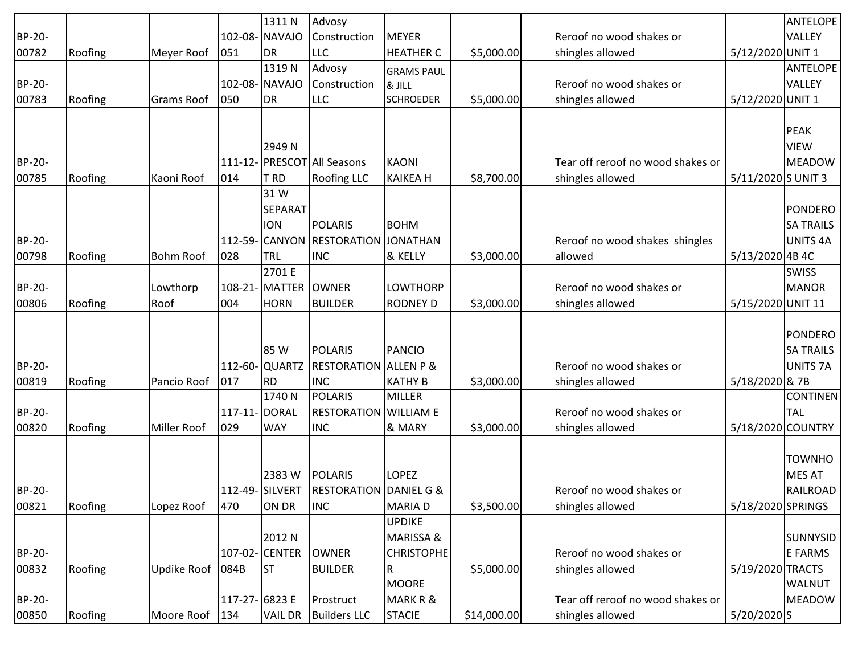|               |         |                   |               | 1311N           | Advosy                            |                             |             |                                   |                    | <b>ANTELOPE</b>  |
|---------------|---------|-------------------|---------------|-----------------|-----------------------------------|-----------------------------|-------------|-----------------------------------|--------------------|------------------|
| BP-20-        |         |                   |               | 102-08- NAVAJO  | Construction                      | <b>MEYER</b>                |             | Reroof no wood shakes or          |                    | <b>VALLEY</b>    |
| 00782         | Roofing | Meyer Roof        | 051           | DR              | <b>LLC</b>                        | <b>HEATHER C</b>            | \$5,000.00  | shingles allowed                  | 5/12/2020 UNIT 1   |                  |
|               |         |                   |               | 1319N           | Advosy                            |                             |             |                                   |                    | <b>ANTELOPE</b>  |
| BP-20-        |         |                   |               | 102-08- NAVAJO  | Construction                      | <b>GRAMS PAUL</b><br>& JILL |             | Reroof no wood shakes or          |                    | VALLEY           |
| 00783         | Roofing | <b>Grams Roof</b> | 050           | DR              | <b>LLC</b>                        | <b>SCHROEDER</b>            | \$5,000.00  | shingles allowed                  | 5/12/2020 UNIT 1   |                  |
|               |         |                   |               |                 |                                   |                             |             |                                   |                    |                  |
|               |         |                   |               |                 |                                   |                             |             |                                   |                    | <b>PEAK</b>      |
|               |         |                   |               | 2949 N          |                                   |                             |             |                                   |                    | <b>VIEW</b>      |
| BP-20-        |         |                   |               |                 | 111-12- PRESCOT All Seasons       | <b>KAONI</b>                |             | Tear off reroof no wood shakes or |                    | <b>MEADOW</b>    |
| 00785         | Roofing | Kaoni Roof        | 014           | T RD            | <b>Roofing LLC</b>                | <b>KAIKEA H</b>             | \$8,700.00  | shingles allowed                  | 5/11/2020 S UNIT 3 |                  |
|               |         |                   |               | 31 W            |                                   |                             |             |                                   |                    |                  |
|               |         |                   |               | <b>SEPARAT</b>  |                                   |                             |             |                                   |                    | PONDERO          |
|               |         |                   |               | <b>ION</b>      | <b>POLARIS</b>                    | <b>BOHM</b>                 |             |                                   |                    | <b>SA TRAILS</b> |
| BP-20-        |         |                   |               | 112-59- CANYON  | <b>RESTORATION</b>                | <b>JONATHAN</b>             |             | Reroof no wood shakes shingles    |                    | <b>UNITS 4A</b>  |
| 00798         | Roofing | <b>Bohm Roof</b>  | 028           | TRL             | <b>INC</b>                        | & KELLY                     | \$3,000.00  | allowed                           | 5/13/2020 4B 4C    |                  |
|               |         |                   |               | 2701 E          |                                   |                             |             |                                   |                    | <b>SWISS</b>     |
| BP-20-        |         | Lowthorp          |               | 108-21- MATTER  | <b>OWNER</b>                      | <b>LOWTHORP</b>             |             | Reroof no wood shakes or          |                    | <b>MANOR</b>     |
| 00806         | Roofing | Roof              | 004           | <b>HORN</b>     | <b>BUILDER</b>                    | <b>RODNEY D</b>             | \$3,000.00  | shingles allowed                  | 5/15/2020 UNIT 11  |                  |
|               |         |                   |               |                 |                                   |                             |             |                                   |                    |                  |
|               |         |                   |               |                 |                                   |                             |             |                                   |                    | PONDERO          |
|               |         |                   |               | <b>85 W</b>     | <b>POLARIS</b>                    | <b>PANCIO</b>               |             |                                   |                    | <b>SA TRAILS</b> |
| BP-20-        |         |                   |               | 112-60-QUARTZ   | <b>RESTORATION ALLEN P &amp;</b>  |                             |             | Reroof no wood shakes or          |                    | <b>UNITS 7A</b>  |
| 00819         | Roofing | Pancio Roof       | 017           | <b>RD</b>       | <b>INC</b>                        | <b>KATHY B</b>              | \$3,000.00  | shingles allowed                  | 5/18/2020 & 7B     |                  |
|               |         |                   |               | 1740 N          | <b>POLARIS</b>                    | <b>MILLER</b>               |             |                                   |                    | <b>CONTINEN</b>  |
| BP-20-        |         |                   | 117-11- DORAL |                 | <b>RESTORATION</b>                | <b>WILLIAM E</b>            |             | Reroof no wood shakes or          |                    | <b>TAL</b>       |
| 00820         | Roofing | Miller Roof       | 029           | <b>WAY</b>      | <b>INC</b>                        | & MARY                      | \$3,000.00  | shingles allowed                  | 5/18/2020 COUNTRY  |                  |
|               |         |                   |               |                 |                                   |                             |             |                                   |                    |                  |
|               |         |                   |               |                 |                                   |                             |             |                                   |                    | <b>TOWNHO</b>    |
|               |         |                   |               | 2383W           | <b>POLARIS</b>                    | <b>LOPEZ</b>                |             |                                   |                    | <b>MES AT</b>    |
| <b>BP-20-</b> |         |                   |               | 112-49- SILVERT | <b>RESTORATION DANIEL G &amp;</b> |                             |             | Reroof no wood shakes or          |                    | RAILROAD         |
| 00821         | Roofing | Lopez Roof        | 470           | ON DR           | <b>INC</b>                        | <b>MARIAD</b>               | \$3,500.00  | shingles allowed                  | 5/18/2020 SPRINGS  |                  |
|               |         |                   |               |                 |                                   | <b>UPDIKE</b>               |             |                                   |                    |                  |
|               |         |                   |               | 2012 N          |                                   | <b>MARISSA &amp;</b>        |             |                                   |                    | SUNNYSID         |
| BP-20-        |         |                   |               | 107-02- CENTER  | <b>OWNER</b>                      | <b>CHRISTOPHE</b>           |             | Reroof no wood shakes or          |                    | E FARMS          |
| 00832         | Roofing | Updike Roof       | 084B          | <b>ST</b>       | <b>BUILDER</b>                    | R                           | \$5,000.00  | shingles allowed                  | 5/19/2020 TRACTS   |                  |
|               |         |                   |               |                 |                                   | <b>MOORE</b>                |             |                                   |                    | <b>WALNUT</b>    |
| BP-20-        |         |                   | 117-27-6823 E |                 | Prostruct                         | MARK R &                    |             | Tear off reroof no wood shakes or |                    | <b>MEADOW</b>    |
| 00850         | Roofing | Moore Roof   134  |               | <b>VAIL DR</b>  | <b>Builders LLC</b>               | <b>STACIE</b>               | \$14,000.00 | shingles allowed                  | 5/20/2020 S        |                  |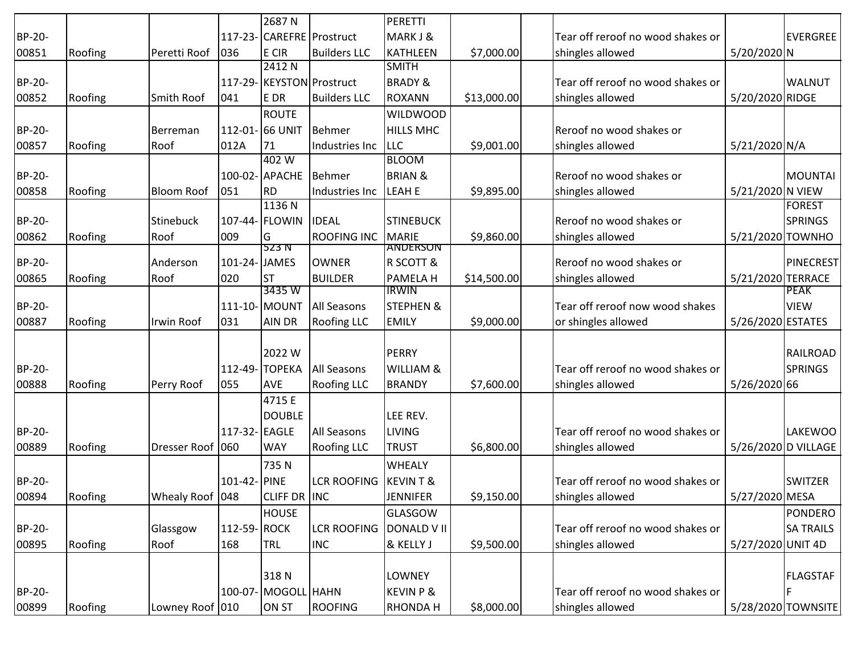|        |         |                   |               | 2687N              |                           | PERETTI                        |             |                                   |                     |                    |
|--------|---------|-------------------|---------------|--------------------|---------------------------|--------------------------------|-------------|-----------------------------------|---------------------|--------------------|
| BP-20- |         |                   |               |                    | 117-23- CAREFRE Prostruct | MARKJ&                         |             | Tear off reroof no wood shakes or |                     | <b>EVERGREE</b>    |
| 00851  | Roofing | Peretti Roof      | 036           | E CIR              | <b>Builders LLC</b>       | <b>KATHLEEN</b>                | \$7,000.00  | shingles allowed                  | 5/20/2020 N         |                    |
|        |         |                   |               | 2412N              |                           | <b>SMITH</b>                   |             |                                   |                     |                    |
| BP-20- |         |                   |               |                    | 117-29-KEYSTON Prostruct  | <b>BRADY &amp;</b>             |             | Tear off reroof no wood shakes or |                     | <b>WALNUT</b>      |
| 00852  | Roofing | <b>Smith Roof</b> | 041           | E DR               | <b>Builders LLC</b>       | ROXANN                         | \$13,000.00 | shingles allowed                  | 5/20/2020 RIDGE     |                    |
|        |         |                   |               | <b>ROUTE</b>       |                           | <b>WILDWOOD</b>                |             |                                   |                     |                    |
| BP-20- |         | Berreman          |               | 112-01- 66 UNIT    | <b>Behmer</b>             | <b>HILLS MHC</b>               |             | Reroof no wood shakes or          |                     |                    |
| 00857  | Roofing | Roof              | 012A          | 71                 | Industries Inc            | <b>LLC</b>                     | \$9,001.00  | shingles allowed                  | 5/21/2020 N/A       |                    |
|        |         |                   |               | 402W               |                           | <b>BLOOM</b>                   |             |                                   |                     |                    |
| BP-20- |         |                   |               | 100-02- APACHE     | <b>Behmer</b>             | <b>BRIAN &amp;</b>             |             | Reroof no wood shakes or          |                     | <b>MOUNTAI</b>     |
| 00858  | Roofing | <b>Bloom Roof</b> | 051           | <b>RD</b>          | Industries Inc            | <b>LEAH E</b>                  | \$9,895.00  | shingles allowed                  | 5/21/2020 N VIEW    |                    |
|        |         |                   |               | 1136 N             |                           |                                |             |                                   |                     | <b>FOREST</b>      |
| BP-20- |         | Stinebuck         |               | 107-44- FLOWIN     | <b>IDEAL</b>              | <b>STINEBUCK</b>               |             | Reroof no wood shakes or          |                     | <b>SPRINGS</b>     |
| 00862  | Roofing | Roof              | 009           | G                  | ROOFING INC               | MARIE                          | \$9,860.00  | shingles allowed                  | 5/21/2020 TOWNHO    |                    |
|        |         |                   |               | 523 N              |                           | ANDERSON                       |             |                                   |                     |                    |
| BP-20- |         | Anderson          | 101-24- JAMES |                    | <b>OWNER</b>              | <b>R SCOTT &amp;</b>           |             | Reroof no wood shakes or          |                     | PINECREST          |
| 00865  | Roofing | Roof              | 020           | <b>ST</b><br>3435W | <b>BUILDER</b>            | <b>PAMELAH</b><br><b>IRWIN</b> | \$14,500.00 | shingles allowed                  | 5/21/2020 TERRACE   | <b>PEAK</b>        |
| BP-20- |         |                   |               | 111-10- MOUNT      | <b>All Seasons</b>        | <b>STEPHEN &amp;</b>           |             | Tear off reroof now wood shakes   |                     | <b>VIEW</b>        |
| 00887  | Roofing | Irwin Roof        | 031           | <b>AIN DR</b>      | <b>Roofing LLC</b>        | <b>EMILY</b>                   | \$9,000.00  | or shingles allowed               | 5/26/2020 ESTATES   |                    |
|        |         |                   |               |                    |                           |                                |             |                                   |                     |                    |
|        |         |                   |               | 2022 W             |                           | PERRY                          |             |                                   |                     | <b>RAILROAD</b>    |
| BP-20- |         |                   |               | 112-49-TOPEKA      | <b>All Seasons</b>        | <b>WILLIAM &amp;</b>           |             | Tear off reroof no wood shakes or |                     | <b>SPRINGS</b>     |
| 00888  | Roofing | Perry Roof        | 055           | <b>AVE</b>         | <b>Roofing LLC</b>        | <b>BRANDY</b>                  | \$7,600.00  | shingles allowed                  | 5/26/2020 66        |                    |
|        |         |                   |               | 4715 E             |                           |                                |             |                                   |                     |                    |
|        |         |                   |               |                    |                           |                                |             |                                   |                     |                    |
|        |         |                   |               | <b>DOUBLE</b>      |                           | LEE REV.                       |             | Tear off reroof no wood shakes or |                     | <b>LAKEWOO</b>     |
| BP-20- |         |                   | 117-32- EAGLE |                    | <b>All Seasons</b>        | LIVING                         |             |                                   |                     |                    |
| 00889  | Roofing | Dresser Roof 060  |               | <b>WAY</b>         | Roofing LLC               | <b>TRUST</b>                   | \$6,800.00  | shingles allowed                  | 5/26/2020 D VILLAGE |                    |
|        |         |                   |               | 735N               |                           | <b>WHEALY</b>                  |             |                                   |                     |                    |
| BP-20- |         |                   | 101-42- PINE  |                    | <b>LCR ROOFING</b>        | KEVINT&                        |             | Tear off reroof no wood shakes or |                     | <b>SWITZER</b>     |
| 00894  | Roofing | Whealy Roof 048   |               | CLIFF DR INC       |                           | JENNIFER                       | \$9,150.00  | shingles allowed                  | 5/27/2020 MESA      |                    |
|        |         |                   |               | <b>HOUSE</b>       |                           | GLASGOW                        |             |                                   |                     | <b>PONDERO</b>     |
| BP-20- |         | Glassgow          | 112-59-ROCK   |                    | LCR ROOFING DONALD VII    |                                |             | Tear off reroof no wood shakes or |                     | <b>SA TRAILS</b>   |
| 00895  | Roofing | Roof              | 168           | <b>TRL</b>         | <b>INC</b>                | & KELLY J                      | \$9,500.00  | shingles allowed                  | 5/27/2020 UNIT 4D   |                    |
|        |         |                   |               |                    |                           |                                |             |                                   |                     |                    |
|        |         |                   |               | 318N               |                           | LOWNEY                         |             |                                   |                     | <b>FLAGSTAF</b>    |
| BP-20- |         |                   |               | 100-07-MOGOLL HAHN |                           | KEVIN P &                      |             | Tear off reroof no wood shakes or |                     |                    |
| 00899  | Roofing | Lowney Roof 010   |               | <b>ON ST</b>       | <b>ROOFING</b>            | <b>RHONDAH</b>                 | \$8,000.00  | shingles allowed                  |                     | 5/28/2020 TOWNSITE |